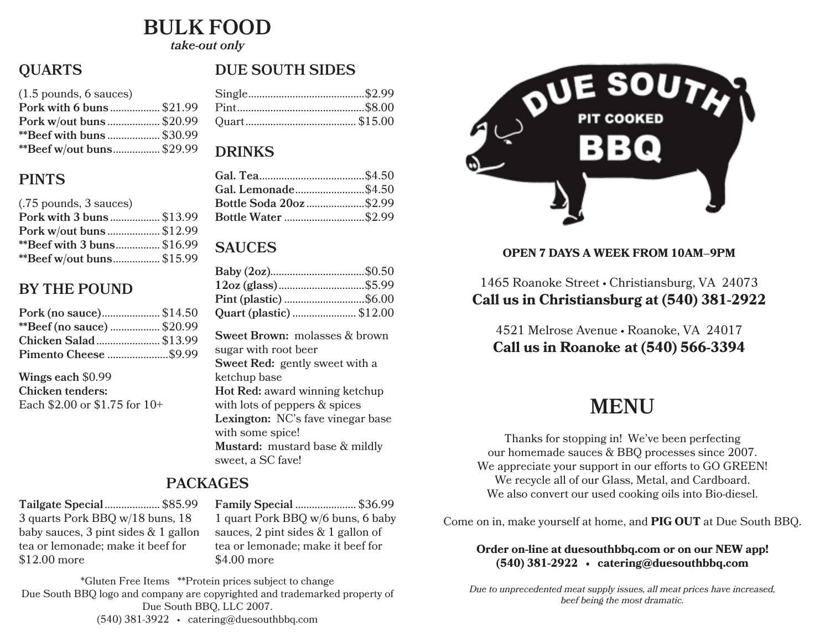## **BULK FOOD**

*take-out only*

## **QUARTS**

| $(1.5 \text{ pounds}, 6 \text{ sauces})$ |  |
|------------------------------------------|--|
| Pork with 6 buns  \$21.99                |  |
| Pork w/out buns \$20.99                  |  |
| **Beef with buns  \$30.99                |  |
| **Beef w/out buns \$29.99                |  |
|                                          |  |

### **PINTS**

| (.75 pounds, 3 sauces)            |  |
|-----------------------------------|--|
| Pork with 3 buns \$13.99          |  |
| Pork w/out buns  \$12.99          |  |
| <b>**Beef with 3 buns</b> \$16.99 |  |
| **Beef w/out buns\$15.99          |  |

### **BY THE POUND**

| Pork (no sauce) \$14.50    |
|----------------------------|
| **Beef (no sauce)  \$20.99 |
| Chicken Salad  \$13.99     |
| Pimento Cheese \$9.99      |
|                            |

**Wings each** \$0.99 **Chicken tenders:** Each \$2.00 or \$1.75 for 10+

## **PACKAGES**

**Tailgate Special**.................... \$85.99 3 quarts Pork BBQ w/18 buns, 18 baby sauces, 3 pint sides & 1 gallon tea or lemonade; make it beef for \$12.00 more

**Family Special** ...................... \$36.99 1 quart Pork BBQ w/6 buns, 6 baby sauces, 2 pint sides & 1 gallon of tea or lemonade; make it beef for \$4.00 more

\*Gluten Free Items \*\*Protein prices subject to change Due South BBQ logo and company are copyrighted and trademarked property of Due South BBQ, LLC 2007. (540) 381-3922 • catering@duesouthbbq.com

### **DUE SOUTH SIDES**

#### **DRINKS**

| Gal. Lemonade\$4.50     |  |
|-------------------------|--|
| Bottle Soda 20oz \$2.99 |  |
|                         |  |
|                         |  |

#### **SAUCES**

| Pint (plastic) \$6.00    |  |
|--------------------------|--|
| Quart (plastic)  \$12.00 |  |

**Sweet Brown:** molasses & brown sugar with root beer **Sweet Red:** gently sweet with a ketchup base **Hot Red:** award winning ketchup with lots of peppers & spices **Lexington:** NC's fave vinegar base with some spice! **Mustard:** mustard base & mildly sweet, a SC fave!



#### **OPEN 7 DAYS A WEEK FROM 10AM–9PM**

#### 1465 Roanoke Street • Christiansburg, VA 24073 **Call us in Christiansburg at (540) 381-2922**

4521 Melrose Avenue • Roanoke, VA 24017 **Call us in Roanoke at (540) 566-3394**

## **MENU**

Thanks for stopping in! We've been perfecting our homemade sauces & BBQ processes since 2007. We appreciate your support in our efforts to GO GREEN! We recycle all of our Glass, Metal, and Cardboard. We also convert our used cooking oils into Bio-diesel.

Come on in, make yourself at home, and **PIG OUT** at Due South BBQ.

#### **Order on-line at duesouthbbq.com or on our NEW app! (540) 381-2922 • catering@duesouthbbq.com**

*Due to unprecedented meat supply issues, all meat prices have increased, beef being the most dramatic.*